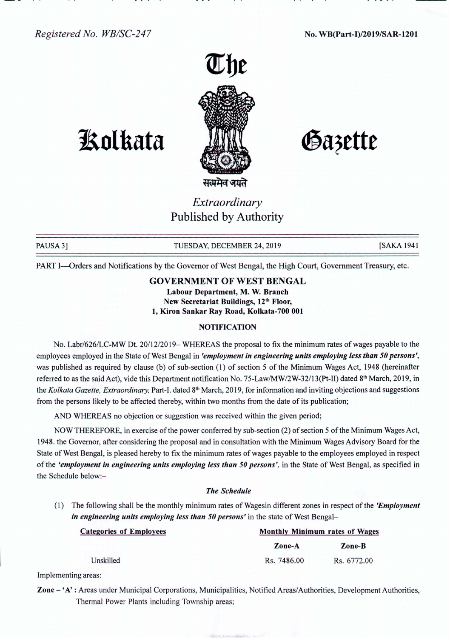

# **1!olkata**

Gazette

## *Extraordinary* Published by Authority

PAUSA 3] TUESDAY, DECEMBER 24, 2019 [SAKA 1941]

PART I-Orders and Notifications by the Governor of West Bengal, the High Court, Government Treasury, etc.

### GOVERNMENT OF WEST BENGAL

Labour Department, M. W. Branch New Secretariat Buildings, 12<sup>th</sup> Floor, 1, Kiron Sankar Ray Road, Kolkata-700 001

#### **NOTIFICATION**

No. Labr/626ILC-MW Dt. *20/12/2019-* WHEREAS the proposal to fix the minimum rates of wages payable to the employees employed inthe State of West Bengal in *'employmentin engineering units employing lessthan 50persons',* was published as required by clause (b) of sub-section (1) of section 5 of the Minimum Wages Act, 1948 (hereinafter referred to as the said Act), vide this Department notification No. 75-Law/MW/2W-32/13(Pt-II) dated 8<sup>th</sup> March, 2019, in the *Kolkata Gazette, Extraordinary,* Part-I. dated 8th March, 2019, for information and inviting objections and suggestions from the persons likely to be affected thereby, within two months from the date of its publication;

AND WHEREAS no objection or suggestion was received within the given period;

NOW THEREFORE, in exercise of the power conferred by sub-section (2) of section 5 of the Minimum Wages Act, 1948. the Governor, after considering the proposal and in consultation with the Minimum Wages Advisory Board for the State of West Bengal, is pleased hereby to fix the minimum rates of wages payable to the employees employed in respect of the *'employment in engineering units employing lessthan 50persons',* in the State of West Bengal, as specified in the Schedule below:-

#### *The Schedule*

(1) The following shall be the monthly minimum rates of Wagesin different zones in respect of the *'Employment in engineering units employing less than* 50 persons' in the state of West Bengal-

| <b>Categories of Employees</b> | <b>Monthly Minimum rates of Wages</b> |             |
|--------------------------------|---------------------------------------|-------------|
|                                | Zone-A                                | Zone-B      |
| Unskilled                      | Rs. 7486.00                           | Rs. 6772.00 |

Implementing areas:

Zone - 'A' : Areas under Municipal Corporations, Municipalities, Notified Areas/Authorities, Development Authorities, Thermal Power Plants including Township areas;